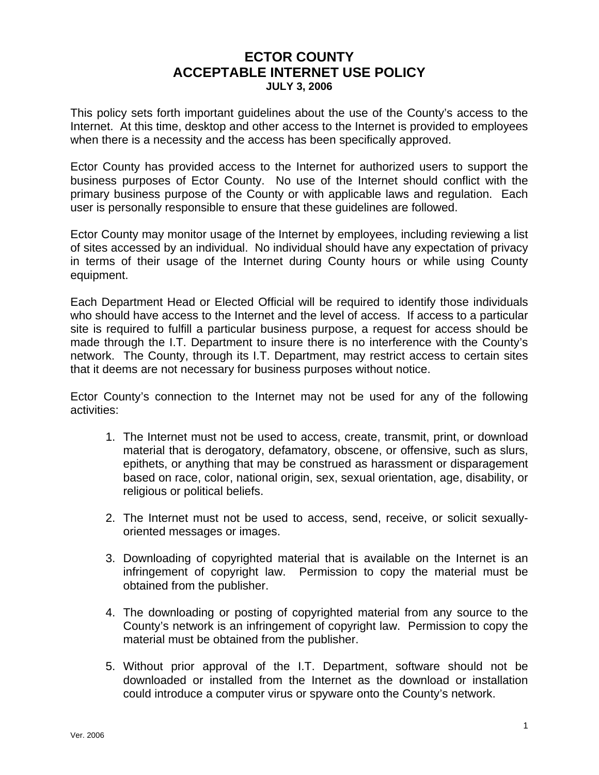## **ECTOR COUNTY ACCEPTABLE INTERNET USE POLICY JULY 3, 2006**

This policy sets forth important guidelines about the use of the County's access to the Internet. At this time, desktop and other access to the Internet is provided to employees when there is a necessity and the access has been specifically approved.

Ector County has provided access to the Internet for authorized users to support the business purposes of Ector County. No use of the Internet should conflict with the primary business purpose of the County or with applicable laws and regulation. Each user is personally responsible to ensure that these guidelines are followed.

Ector County may monitor usage of the Internet by employees, including reviewing a list of sites accessed by an individual. No individual should have any expectation of privacy in terms of their usage of the Internet during County hours or while using County equipment.

Each Department Head or Elected Official will be required to identify those individuals who should have access to the Internet and the level of access. If access to a particular site is required to fulfill a particular business purpose, a request for access should be made through the I.T. Department to insure there is no interference with the County's network. The County, through its I.T. Department, may restrict access to certain sites that it deems are not necessary for business purposes without notice.

Ector County's connection to the Internet may not be used for any of the following activities:

- 1. The Internet must not be used to access, create, transmit, print, or download material that is derogatory, defamatory, obscene, or offensive, such as slurs, epithets, or anything that may be construed as harassment or disparagement based on race, color, national origin, sex, sexual orientation, age, disability, or religious or political beliefs.
- 2. The Internet must not be used to access, send, receive, or solicit sexuallyoriented messages or images.
- 3. Downloading of copyrighted material that is available on the Internet is an infringement of copyright law. Permission to copy the material must be obtained from the publisher.
- 4. The downloading or posting of copyrighted material from any source to the County's network is an infringement of copyright law. Permission to copy the material must be obtained from the publisher.
- 5. Without prior approval of the I.T. Department, software should not be downloaded or installed from the Internet as the download or installation could introduce a computer virus or spyware onto the County's network.